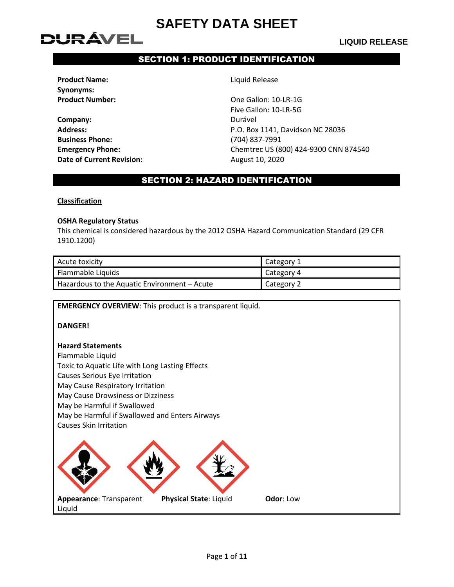## DURÁVEL

#### **LIQUID RELEASE**

#### SECTION 1: PRODUCT IDENTIFICATION

**Product Name:** Liquid Release **Synonyms:**

**Company:** Durável **Business Phone:** (704) 837-7991 **Date of Current Revision:** August 10, 2020

**Product Number:** Christmas Christmas Christmas Christmas Christmas Christmas Christmas Christmas Christmas Christmas Christmas Christmas Christmas Christmas Christmas Christmas Christmas Christmas Christmas Christmas Chri Five Gallon: 10-LR-5G **Address:** P.O. Box 1141, Davidson NC 28036 **Emergency Phone:** Chemtrec US (800) 424-9300 CNN 874540

#### SECTION 2: HAZARD IDENTIFICATION

#### **Classification**

#### **OSHA Regulatory Status**

This chemical is considered hazardous by the 2012 OSHA Hazard Communication Standard (29 CFR 1910.1200)

| Acute toxicity                               | Category 1 |
|----------------------------------------------|------------|
| Flammable Liquids                            | Category 4 |
| Hazardous to the Aquatic Environment – Acute | Category 2 |

**EMERGENCY OVERVIEW**: This product is a transparent liquid.

**DANGER!**

#### **Hazard Statements**

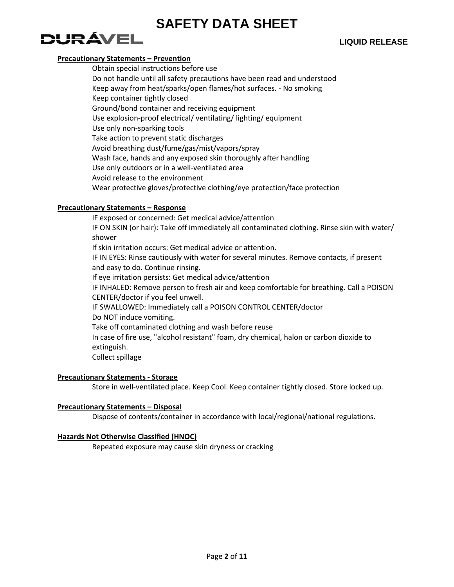## DURÁVEL

#### **Precautionary Statements – Prevention**

Obtain special instructions before use Do not handle until all safety precautions have been read and understood Keep away from heat/sparks/open flames/hot surfaces. - No smoking Keep container tightly closed Ground/bond container and receiving equipment Use explosion-proof electrical/ ventilating/ lighting/ equipment Use only non-sparking tools Take action to prevent static discharges Avoid breathing dust/fume/gas/mist/vapors/spray Wash face, hands and any exposed skin thoroughly after handling Use only outdoors or in a well-ventilated area Avoid release to the environment Wear protective gloves/protective clothing/eye protection/face protection

#### **Precautionary Statements – Response**

IF exposed or concerned: Get medical advice/attention IF ON SKIN (or hair): Take off immediately all contaminated clothing. Rinse skin with water/ shower If skin irritation occurs: Get medical advice or attention. IF IN EYES: Rinse cautiously with water for several minutes. Remove contacts, if present and easy to do. Continue rinsing. If eye irritation persists: Get medical advice/attention IF INHALED: Remove person to fresh air and keep comfortable for breathing. Call a POISON CENTER/doctor if you feel unwell. IF SWALLOWED: Immediately call a POISON CONTROL CENTER/doctor Do NOT induce vomiting. Take off contaminated clothing and wash before reuse In case of fire use, "alcohol resistant" foam, dry chemical, halon or carbon dioxide to extinguish. Collect spillage

#### **Precautionary Statements - Storage**

Store in well-ventilated place. Keep Cool. Keep container tightly closed. Store locked up.

#### **Precautionary Statements – Disposal**

Dispose of contents/container in accordance with local/regional/national regulations.

#### **Hazards Not Otherwise Classified (HNOC)**

Repeated exposure may cause skin dryness or cracking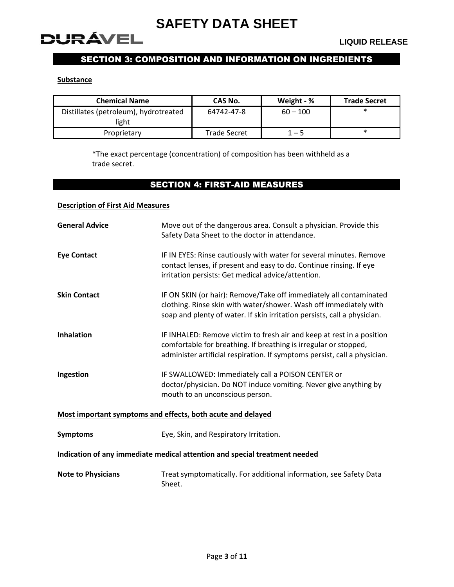

### SECTION 3: COMPOSITION AND INFORMATION ON INGREDIENTS

#### **Substance**

| <b>Chemical Name</b>                           | CAS No.             | Weight - % | <b>Trade Secret</b> |
|------------------------------------------------|---------------------|------------|---------------------|
| Distillates (petroleum), hydrotreated<br>light | 64742-47-8          | $60 - 100$ | $\ast$              |
| Proprietary                                    | <b>Trade Secret</b> | 1 – 5      | $\ast$              |

\*The exact percentage (concentration) of composition has been withheld as a trade secret.

#### SECTION 4: FIRST-AID MEASURES

#### **Description of First Aid Measures**

| <b>General Advice</b>                                                      | Move out of the dangerous area. Consult a physician. Provide this<br>Safety Data Sheet to the doctor in attendance.                                                                                                    |  |
|----------------------------------------------------------------------------|------------------------------------------------------------------------------------------------------------------------------------------------------------------------------------------------------------------------|--|
| <b>Eye Contact</b>                                                         | IF IN EYES: Rinse cautiously with water for several minutes. Remove<br>contact lenses, if present and easy to do. Continue rinsing. If eye<br>irritation persists: Get medical advice/attention.                       |  |
| <b>Skin Contact</b>                                                        | IF ON SKIN (or hair): Remove/Take off immediately all contaminated<br>clothing. Rinse skin with water/shower. Wash off immediately with<br>soap and plenty of water. If skin irritation persists, call a physician.    |  |
| <b>Inhalation</b>                                                          | IF INHALED: Remove victim to fresh air and keep at rest in a position<br>comfortable for breathing. If breathing is irregular or stopped,<br>administer artificial respiration. If symptoms persist, call a physician. |  |
| Ingestion                                                                  | IF SWALLOWED: Immediately call a POISON CENTER or<br>doctor/physician. Do NOT induce vomiting. Never give anything by<br>mouth to an unconscious person.                                                               |  |
|                                                                            | Most important symptoms and effects, both acute and delayed                                                                                                                                                            |  |
| <b>Symptoms</b>                                                            | Eye, Skin, and Respiratory Irritation.                                                                                                                                                                                 |  |
| Indication of any immediate medical attention and special treatment needed |                                                                                                                                                                                                                        |  |
| <b>Note to Physicians</b>                                                  | Treat symptomatically. For additional information, see Safety Data<br>Sheet.                                                                                                                                           |  |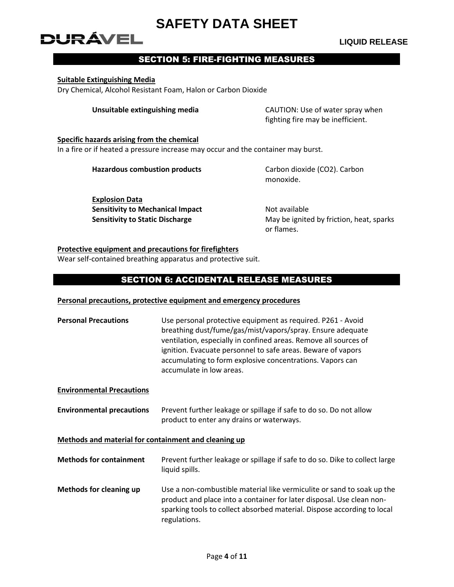# DURÁVEL

#### **LIQUID RELEASE**

#### SECTION 5: FIRE-FIGHTING MEASURES

#### **Suitable Extinguishing Media**

Dry Chemical, Alcohol Resistant Foam, Halon or Carbon Dioxide

**Unsuitable extinguishing media** CAUTION: Use of water spray when fighting fire may be inefficient.

#### **Specific hazards arising from the chemical** In a fire or if heated a pressure increase may occur and the container may burst.

**Hazardous combustion products** Carbon dioxide (CO2). Carbon

monoxide.

**Explosion Data Sensitivity to Mechanical Impact Not available** 

**Sensitivity to Static Discharge** May be ignited by friction, heat, sparks or flames.

#### **Protective equipment and precautions for firefighters**

Wear self-contained breathing apparatus and protective suit.

#### SECTION 6: ACCIDENTAL RELEASE MEASURES

#### **Personal precautions, protective equipment and emergency procedures**

| <b>Personal Precautions</b>      | Use personal protective equipment as required. P261 - Avoid<br>breathing dust/fume/gas/mist/vapors/spray. Ensure adequate<br>ventilation, especially in confined areas. Remove all sources of<br>ignition. Evacuate personnel to safe areas. Beware of vapors<br>accumulating to form explosive concentrations. Vapors can<br>accumulate in low areas. |
|----------------------------------|--------------------------------------------------------------------------------------------------------------------------------------------------------------------------------------------------------------------------------------------------------------------------------------------------------------------------------------------------------|
| <b>Environmental Precautions</b> |                                                                                                                                                                                                                                                                                                                                                        |
| <b>Environmental precautions</b> | Prevent further leakage or spillage if safe to do so. Do not allow<br>product to enter any drains or waterways.                                                                                                                                                                                                                                        |

#### **Methods and material for containment and cleaning up**

| <b>Methods for containment</b> | Prevent further leakage or spillage if safe to do so. Dike to collect large |
|--------------------------------|-----------------------------------------------------------------------------|
|                                | liquid spills.                                                              |

**Methods for cleaning up** Use a non-combustible material like vermiculite or sand to soak up the product and place into a container for later disposal. Use clean nonsparking tools to collect absorbed material. Dispose according to local regulations.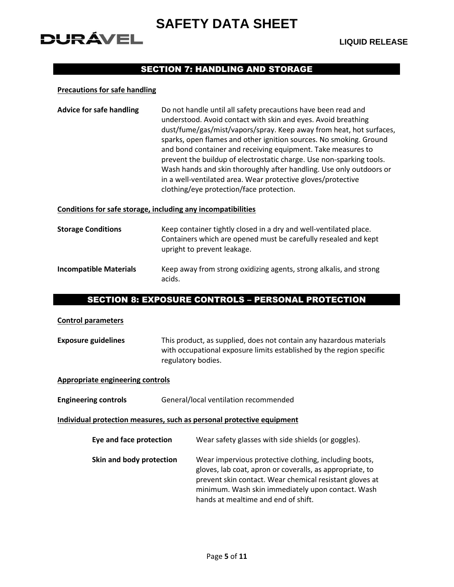# DURÁVEL

#### SECTION 7: HANDLING AND STORAGE

#### **Precautions for safe handling**

| <b>Advice for safe handling</b> | Do not handle until all safety precautions have been read and<br>understood. Avoid contact with skin and eyes. Avoid breathing |
|---------------------------------|--------------------------------------------------------------------------------------------------------------------------------|
|                                 |                                                                                                                                |
|                                 | dust/fume/gas/mist/vapors/spray. Keep away from heat, hot surfaces,                                                            |
|                                 | sparks, open flames and other ignition sources. No smoking. Ground                                                             |
|                                 | and bond container and receiving equipment. Take measures to                                                                   |
|                                 | prevent the buildup of electrostatic charge. Use non-sparking tools.                                                           |
|                                 | Wash hands and skin thoroughly after handling. Use only outdoors or                                                            |
|                                 | in a well-ventilated area. Wear protective gloves/protective                                                                   |
|                                 | clothing/eye protection/face protection.                                                                                       |

#### **Conditions for safe storage, including any incompatibilities**

| <b>Storage Conditions</b>     | Keep container tightly closed in a dry and well-ventilated place.<br>Containers which are opened must be carefully resealed and kept<br>upright to prevent leakage. |
|-------------------------------|---------------------------------------------------------------------------------------------------------------------------------------------------------------------|
| <b>Incompatible Materials</b> | Keep away from strong oxidizing agents, strong alkalis, and strong<br>acids.                                                                                        |

#### SECTION 8: EXPOSURE CONTROLS – PERSONAL PROTECTION

#### **Control parameters**

**Exposure guidelines** This product, as supplied, does not contain any hazardous materials with occupational exposure limits established by the region specific regulatory bodies.

#### **Appropriate engineering controls**

**Engineering controls** General/local ventilation recommended

**Individual protection measures, such as personal protective equipment**

| Eye and face protection | Wear safety glasses with side shields (or goggles). |  |
|-------------------------|-----------------------------------------------------|--|
|-------------------------|-----------------------------------------------------|--|

**Skin and body protection** Wear impervious protective clothing, including boots, gloves, lab coat, apron or coveralls, as appropriate, to prevent skin contact. Wear chemical resistant gloves at minimum. Wash skin immediately upon contact. Wash hands at mealtime and end of shift.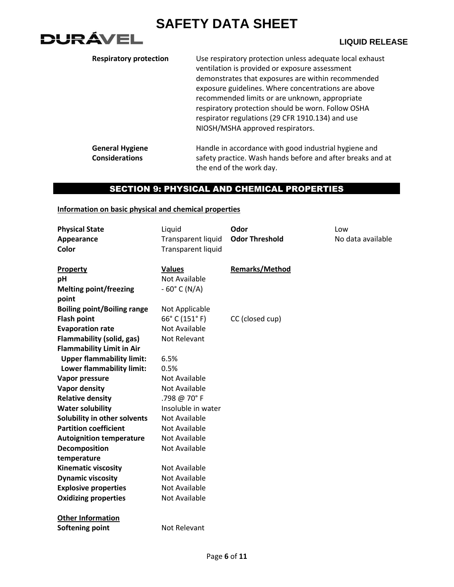

| <b>Respiratory protection</b>                   | Use respiratory protection unless adequate local exhaust<br>ventilation is provided or exposure assessment<br>demonstrates that exposures are within recommended<br>exposure guidelines. Where concentrations are above<br>recommended limits or are unknown, appropriate<br>respiratory protection should be worn. Follow OSHA<br>respirator regulations (29 CFR 1910.134) and use<br>NIOSH/MSHA approved respirators. |
|-------------------------------------------------|-------------------------------------------------------------------------------------------------------------------------------------------------------------------------------------------------------------------------------------------------------------------------------------------------------------------------------------------------------------------------------------------------------------------------|
| <b>General Hygiene</b><br><b>Considerations</b> | Handle in accordance with good industrial hygiene and<br>safety practice. Wash hands before and after breaks and at<br>the end of the work day.                                                                                                                                                                                                                                                                         |

### SECTION 9: PHYSICAL AND CHEMICAL PROPERTIES

#### **Information on basic physical and chemical properties**

| <b>Physical State</b>                  | Liquid                    | Odor                  | Low               |
|----------------------------------------|---------------------------|-----------------------|-------------------|
| Appearance                             | <b>Transparent liquid</b> | <b>Odor Threshold</b> | No data available |
| Color                                  | <b>Transparent liquid</b> |                       |                   |
|                                        |                           |                       |                   |
| Property                               | <b>Values</b>             | <b>Remarks/Method</b> |                   |
| рH                                     | <b>Not Available</b>      |                       |                   |
| <b>Melting point/freezing</b><br>point | $-60^{\circ}$ C (N/A)     |                       |                   |
| <b>Boiling point/Boiling range</b>     | Not Applicable            |                       |                   |
| <b>Flash point</b>                     | 66°C (151°F)              | CC (closed cup)       |                   |
| <b>Evaporation rate</b>                | <b>Not Available</b>      |                       |                   |
| <b>Flammability (solid, gas)</b>       | Not Relevant              |                       |                   |
| <b>Flammability Limit in Air</b>       |                           |                       |                   |
| <b>Upper flammability limit:</b>       | 6.5%                      |                       |                   |
| Lower flammability limit:              | 0.5%                      |                       |                   |
| Vapor pressure                         | <b>Not Available</b>      |                       |                   |
| <b>Vapor density</b>                   | Not Available             |                       |                   |
| <b>Relative density</b>                | .798 @ 70°F               |                       |                   |
| <b>Water solubility</b>                | Insoluble in water        |                       |                   |
| Solubility in other solvents           | <b>Not Available</b>      |                       |                   |
| <b>Partition coefficient</b>           | <b>Not Available</b>      |                       |                   |
| <b>Autoignition temperature</b>        | <b>Not Available</b>      |                       |                   |
| Decomposition                          | <b>Not Available</b>      |                       |                   |
| temperature                            |                           |                       |                   |
| <b>Kinematic viscosity</b>             | <b>Not Available</b>      |                       |                   |
| <b>Dynamic viscosity</b>               | <b>Not Available</b>      |                       |                   |
| <b>Explosive properties</b>            | <b>Not Available</b>      |                       |                   |
| <b>Oxidizing properties</b>            | Not Available             |                       |                   |
| <b>Other Information</b>               |                           |                       |                   |
| Softening point                        | Not Relevant              |                       |                   |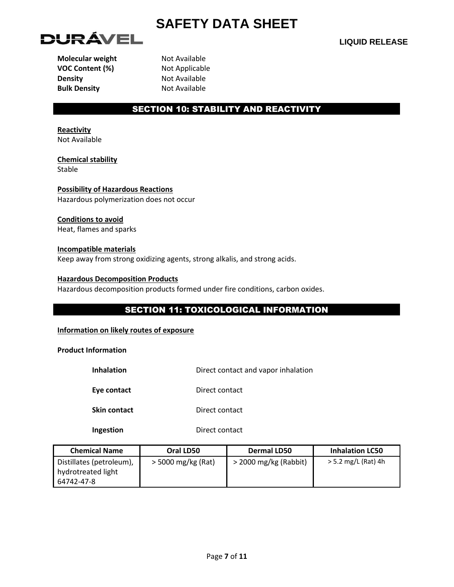

**VOC Content (%)** Not Applicable **Density** Not Available **Bulk Density** Not Available

**Molecular weight** Not Available

#### SECTION 10: STABILITY AND REACTIVITY

**Reactivity** Not Available

**Chemical stability** Stable

**Possibility of Hazardous Reactions** Hazardous polymerization does not occur

#### **Conditions to avoid**

Heat, flames and sparks

#### **Incompatible materials**

Keep away from strong oxidizing agents, strong alkalis, and strong acids.

#### **Hazardous Decomposition Products**

Hazardous decomposition products formed under fire conditions, carbon oxides.

### SECTION 11: TOXICOLOGICAL INFORMATION

#### **Information on likely routes of exposure**

**Product Information**

| Direct contact and vapor inhalation |
|-------------------------------------|
|                                     |

**Eye contact** Direct contact

**Skin contact** Direct contact

**Ingestion** Direct contact

| <b>Chemical Name</b>                                         | Oral LD50          | <b>Dermal LD50</b>    | <b>Inhalation LC50</b> |
|--------------------------------------------------------------|--------------------|-----------------------|------------------------|
| Distillates (petroleum),<br>hydrotreated light<br>64742-47-8 | > 5000 mg/kg (Rat) | > 2000 mg/kg (Rabbit) | > 5.2 mg/L (Rat) 4h    |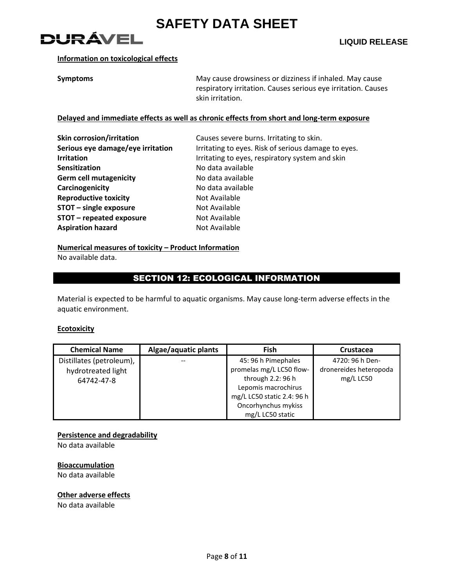

#### **Information on toxicological effects**

**Symptoms** May cause drowsiness or dizziness if inhaled. May cause drowsiness or dizziness if inhaled. May cause respiratory irritation. Causes serious eye irritation. Causes skin irritation.

#### **Delayed and immediate effects as well as chronic effects from short and long-term exposure**

| <b>Skin corrosion/irritation</b>  | Causes severe burns. Irritating to skin.            |
|-----------------------------------|-----------------------------------------------------|
| Serious eye damage/eye irritation | Irritating to eyes. Risk of serious damage to eyes. |
| <b>Irritation</b>                 | Irritating to eyes, respiratory system and skin     |
| <b>Sensitization</b>              | No data available                                   |
| <b>Germ cell mutagenicity</b>     | No data available                                   |
| Carcinogenicity                   | No data available                                   |
| <b>Reproductive toxicity</b>      | Not Available                                       |
| STOT - single exposure            | Not Available                                       |
| STOT - repeated exposure          | Not Available                                       |
| <b>Aspiration hazard</b>          | Not Available                                       |

#### **Numerical measures of toxicity – Product Information**

No available data.

#### SECTION 12: ECOLOGICAL INFORMATION

Material is expected to be harmful to aquatic organisms. May cause long-term adverse effects in the aquatic environment.

#### **Ecotoxicity**

| <b>Chemical Name</b>                                         | Algae/aquatic plants | Fish                                                                                        | Crustacea                                              |
|--------------------------------------------------------------|----------------------|---------------------------------------------------------------------------------------------|--------------------------------------------------------|
| Distillates (petroleum),<br>hydrotreated light<br>64742-47-8 |                      | 45: 96 h Pimephales<br>promelas mg/L LC50 flow-<br>through 2.2: 96 h<br>Lepomis macrochirus | 4720: 96 h Den-<br>dronereides heteropoda<br>mg/L LC50 |
|                                                              |                      | mg/L LC50 static 2.4: 96 h<br>Oncorhynchus mykiss<br>mg/L LC50 static                       |                                                        |

#### **Persistence and degradability**

No data available

#### **Bioaccumulation**

No data available

#### **Other adverse effects**

No data available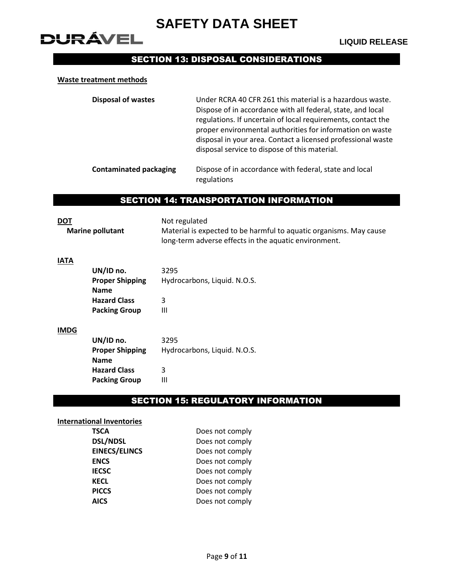## **DURÁVEL**

### SECTION 13: DISPOSAL CONSIDERATIONS

#### **Waste treatment methods**

| <b>Disposal of wastes</b>     | Under RCRA 40 CFR 261 this material is a hazardous waste.<br>Dispose of in accordance with all federal, state, and local<br>regulations. If uncertain of local requirements, contact the<br>proper environmental authorities for information on waste<br>disposal in your area. Contact a licensed professional waste<br>disposal service to dispose of this material. |
|-------------------------------|------------------------------------------------------------------------------------------------------------------------------------------------------------------------------------------------------------------------------------------------------------------------------------------------------------------------------------------------------------------------|
| <b>Contaminated packaging</b> | Dispose of in accordance with federal, state and local<br>regulations                                                                                                                                                                                                                                                                                                  |

#### SECTION 14: TRANSPORTATION INFORMATION

**DOT** Not regulated **Marine pollutant** Material is expected to be harmful to aquatic organisms. May cause long-term adverse effects in the aquatic environment.

#### **IATA**

| UN/ID no.              | 3295                         |
|------------------------|------------------------------|
| <b>Proper Shipping</b> | Hydrocarbons, Liquid. N.O.S. |
| <b>Name</b>            |                              |
| <b>Hazard Class</b>    | 3                            |
| <b>Packing Group</b>   | Ш                            |

#### **IMDG**

| UN/ID no.              | 3295                         |
|------------------------|------------------------------|
| <b>Proper Shipping</b> | Hydrocarbons, Liquid. N.O.S. |
| <b>Name</b>            |                              |
| <b>Hazard Class</b>    | 3                            |
| <b>Packing Group</b>   | Ш                            |

#### SECTION 15: REGULATORY INFORMATION

#### **International Inventories**

| <b>TSCA</b>          | Does not comply |
|----------------------|-----------------|
| <b>DSL/NDSL</b>      | Does not comply |
| <b>EINECS/ELINCS</b> | Does not comply |
| <b>ENCS</b>          | Does not comply |
| <b>IECSC</b>         | Does not comply |
| <b>KECL</b>          | Does not comply |
| <b>PICCS</b>         | Does not comply |
| <b>AICS</b>          | Does not comply |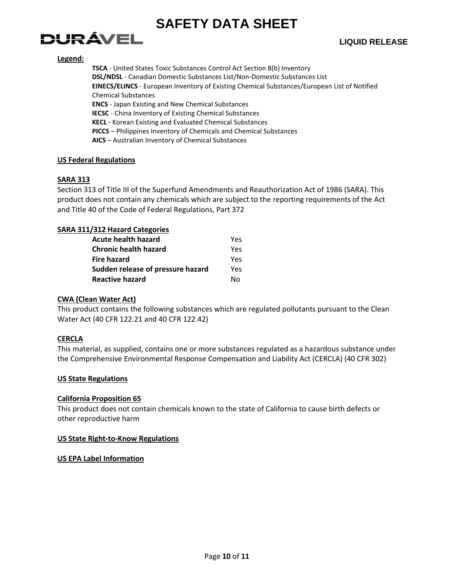

#### **Legend:**

**TSCA** - United States Toxic Substances Control Act Section 8(b) Inventory **DSL/NDSL** - Canadian Domestic Substances List/Non-Domestic Substances List **EINECS/ELINCS** - European Inventory of Existing Chemical Substances/European List of Notified Chemical Substances **ENCS** - Japan Existing and New Chemical Substances **IECSC** - China Inventory of Existing Chemical Substances **KECL** - Korean Existing and Evaluated Chemical Substances **PICCS** – Philippines Inventory of Chemicals and Chemical Substances

**AICS** – Australian Inventory of Chemical Substances

#### **US Federal Regulations**

#### **SARA 313**

Section 313 of Title III of the Superfund Amendments and Reauthorization Act of 1986 (SARA). This product does not contain any chemicals which are subject to the reporting requirements of the Act and Title 40 of the Code of Federal Regulations, Part 372

#### **SARA 311/312 Hazard Categories**

| <b>Acute health hazard</b>        | Yes |
|-----------------------------------|-----|
| <b>Chronic health hazard</b>      | Yes |
| <b>Fire hazard</b>                | Yes |
| Sudden release of pressure hazard | Yes |
| <b>Reactive hazard</b>            | N٥  |

#### **CWA (Clean Water Act)**

This product contains the following substances which are regulated pollutants pursuant to the Clean Water Act (40 CFR 122.21 and 40 CFR 122.42)

#### **CERCLA**

This material, as supplied, contains one or more substances regulated as a hazardous substance under the Comprehensive Environmental Response Compensation and Liability Act (CERCLA) (40 CFR 302)

#### **US State Regulations**

#### **California Proposition 65**

This product does not contain chemicals known to the state of California to cause birth defects or other reproductive harm

#### **US State Right-to-Know Regulations**

#### **US EPA Label Information**